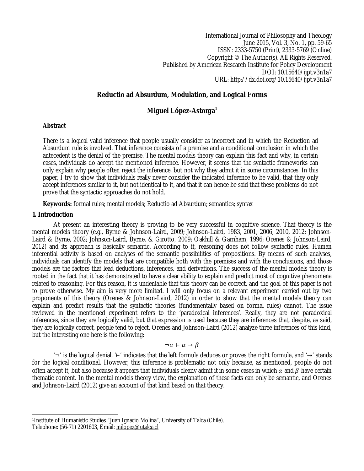International Journal of Philosophy and Theology June 2015, Vol. 3, No. 1, pp. 59-65 ISSN: 2333-5750 (Print), 2333-5769 (Online) Copyright © The Author(s). All Rights Reserved. Published by American Research Institute for Policy Development DOI: 10.15640/ijpt.v3n1a7 URL: http://dx.doi.org/10.15640/ijpt.v3n1a7

# **Reductio ad Absurdum, Modulation, and Logical Forms**

# **Miguel López-Astorga<sup>1</sup>**

### **Abstract**

There is a logical valid inference that people usually consider as incorrect and in which the Reduction ad Absurdum rule is involved. That inference consists of a premise and a conditional conclusion in which the antecedent is the denial of the premise. The mental models theory can explain this fact and why, in certain cases, individuals do accept the mentioned inference. However, it seems that the syntactic frameworks can only explain why people often reject the inference, but not why they admit it in some circumstances. In this paper, I try to show that individuals really never consider the indicated inference to be valid, that they only accept inferences similar to it, but not identical to it, and that it can hence be said that these problems do not prove that the syntactic approaches do not hold.

**Keywords:** formal rules; mental models; Reductio ad Absurdum; semantics; syntax

### **1. Introduction**

At present an interesting theory is proving to be very successful in cognitive science. That theory is the mental models theory (e.g., Byrne & Johnson-Laird, 2009; Johnson-Laird, 1983, 2001, 2006, 2010, 2012; Johnson-Laird & Byrne, 2002; Johnson-Laird, Byrne, & Girotto, 2009; Oakhill & Garnham, 1996; Orenes & Johnson-Laird, 2012) and its approach is basically semantic. According to it, reasoning does not follow syntactic rules. Human inferential activity is based on analyses of the semantic possibilities of propositions. By means of such analyses, individuals can identify the models that are compatible both with the premises and with the conclusions, and those models are the factors that lead deductions, inferences, and derivations. The success of the mental models theory is rooted in the fact that it has demonstrated to have a clear ability to explain and predict most of cognitive phenomena related to reasoning. For this reason, it is undeniable that this theory can be correct, and the goal of this paper is not to prove otherwise. My aim is very more limited. I will only focus on a relevant experiment carried out by two proponents of this theory (Orenes & Johnson-Laird, 2012) in order to show that the mental models theory can explain and predict results that the syntactic theories (fundamentally based on formal rules) cannot. The issue reviewed in the mentioned experiment refers to the 'paradoxical inferences'. Really, they are not paradoxical inferences, since they are logically valid, but that expression is used because they are inferences that, despite, as said, they are logically correct, people tend to reject. Orenes and Johnson-Laird (2012) analyze three inferences of this kind, but the interesting one here is the following:

$$
\neg \alpha \vdash \alpha \rightarrow \beta
$$

'¬' is the logical denial, '⊢' indicates that the left formula deduces or proves the right formula, and '→' stands for the logical conditional. However, this inference is problematic not only because, as mentioned, people do not often accept it, but also because it appears that individuals clearly admit it in some cases in which  $\alpha$  and  $\beta$  have certain thematic content. In the mental models theory view, the explanation of these facts can only be semantic, and Orenes and Johnson-Laird (2012) give an account of that kind based on that theory.

 $\overline{a}$ <sup>1</sup>Institute of Humanistic Studies "Juan Ignacio Molina", University of Talca (Chile).

Telephone: (56-71) 2201603, Email: milopez@utalca.cl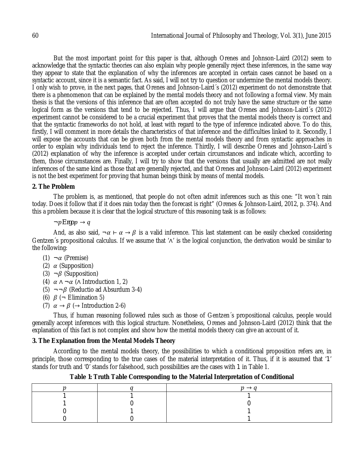But the most important point for this paper is that, although Orenes and Johnson-Laird (2012) seem to acknowledge that the syntactic theories can also explain why people generally reject these inferences, in the same way they appear to state that the explanation of why the inferences are accepted in certain cases cannot be based on a syntactic account, since it is a semantic fact. As said, I will not try to question or undermine the mental models theory. I only wish to prove, in the next pages, that Orenes and Johnson-Laird´s (2012) experiment do not demonstrate that there is a phenomenon that can be explained by the mental models theory and not following a formal view. My main thesis is that the versions of this inference that are often accepted do not truly have the same structure or the same logical form as the versions that tend to be rejected. Thus, I will argue that Orenes and Johnson-Laird´s (2012) experiment cannot be considered to be a crucial experiment that proves that the mental models theory is correct and that the syntactic frameworks do not hold, at least with regard to the type of inference indicated above. To do this, firstly, I will comment in more details the characteristics of that inference and the difficulties linked to it. Secondly, I will expose the accounts that can be given both from the mental models theory and from syntactic approaches in order to explain why individuals tend to reject the inference. Thirdly, I will describe Orenes and Johnson-Laird´s (2012) explanation of why the inference is accepted under certain circumstances and indicate which, according to them, those circumstances are. Finally, I will try to show that the versions that usually are admitted are not really inferences of the same kind as those that are generally rejected, and that Orenes and Johnson-Laird (2012) experiment is not the best experiment for proving that human beings think by means of mental models.

## **2. The Problem**

The problem is, as mentioned, that people do not often admit inferences such as this one: "It won´t rain today. Does it follow that if it does rain today then the forecast is right" (Orenes & Johnson-Laird, 2012, p. 374). And this a problem because it is clear that the logical structure of this reasoning task is as follows:

 $\neg p$ *Ergo* $p \rightarrow q$ 

And, as also said,  $\neg \alpha \vdash \alpha \rightarrow \beta$  is a valid inference. This last statement can be easily checked considering Gentzen´s propositional calculus. If we assume that '∧' is the logical conjunction, the derivation would be similar to the following:

- (1)  $\neg \alpha$  (Premise)
- (2)  $\alpha$  (Supposition)
- (3)  $\neg \beta$  (Supposition)
- (4)  $\alpha \wedge \neg \alpha$  ( $\wedge$  Introduction 1, 2)
- (5)  $\neg \neg \beta$  (Reductio ad Absurdum 3-4)
- (6)  $\beta$  ( $\neg$  Elimination 5)
- (7)  $\alpha \rightarrow \beta$  ( $\rightarrow$  Introduction 2-6)

Thus, if human reasoning followed rules such as those of Gentzen´s propositional calculus, people would generally accept inferences with this logical structure. Nonetheless, Orenes and Johnson-Laird (2012) think that the explanation of this fact is not complex and show how the mental models theory can give an account of it.

## **3. The Explanation from the Mental Models Theory**

According to the mental models theory, the possibilities to which a conditional proposition refers are, in principle, those corresponding to the true cases of the material interpretation of it. Thus, if it is assumed that '1' stands for truth and '0' stands for falsehood, such possibilities are the cases with 1 in Table 1.

**Table 1: Truth Table Corresponding to the Material Interpretation of Conditional**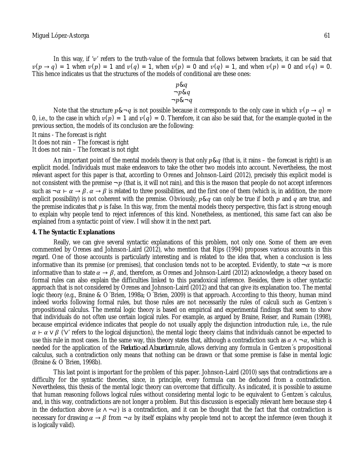$$
p & q \\
\neg p & q \\
\neg p & \neg q
$$

Note that the structure  $p\&\neg q$  is not possible because it corresponds to the only case in which  $v(p \rightarrow q)$  = 0, i.e., to the case in which  $v(p) = 1$  and  $v(q) = 0$ . Therefore, it can also be said that, for the example quoted in the previous section, the models of its conclusion are the following:

It rains - The forecast is right

It does not rain – The forecast is right

It does not rain – The forecast is not right

An important point of the mental models theory is that only  $p \& q$  (that is, it rains – the forecast is right) is an explicit model. Individuals must make endeavors to take the other two models into account. Nevertheless, the most relevant aspect for this paper is that, according to Orenes and Johnson-Laird (2012), precisely this explicit model is not consistent with the premise  $\neg p$  (that is, it will not rain), and this is the reason that people do not accept inferences such as  $\neg \alpha \vdash \alpha \rightarrow \beta$ .  $\alpha \rightarrow \beta$  is related to three possibilities, and the first one of them (which is, in addition, the more explicit possibility) is not coherent with the premise. Obviously,  $p \& q$  can only be true if both  $p$  and  $q$  are true, and the premise indicates that  $p$  is false. In this way, from the mental models theory perspective, this fact is strong enough to explain why people tend to reject inferences of this kind. Nonetheless, as mentioned, this same fact can also be explained from a syntactic point of view. I will show it in the next part.

#### **4. The Syntactic Explanations**

Really, we can give several syntactic explanations of this problem, not only one. Some of them are even commented by Orenes and Johnson-Laird (2012), who mention that Rips (1994) proposes various accounts in this regard. One of those accounts is particularly interesting and is related to the idea that, when a conclusion is less informative than its premise (or premises), that conclusion tends not to be accepted. Evidently, to state  $\neg \alpha$  is more informative than to state  $\alpha \to \beta$ , and, therefore, as Orenes and Johnson-Laird (2012) acknowledge, a theory based on formal rules can also explain the difficulties linked to this paradoxical inference. Besides, there is other syntactic approach that is not considered by Orenes and Johnson-Laird (2012) and that can give its explanation too. The mental logic theory (e.g., Braine & O´Brien, 1998a; O´Brien, 2009) is that approach. According to this theory, human mind indeed works following formal rules, but those rules are not necessarily the rules of calculi such as Gentzen´s propositional calculus. The mental logic theory is based on empirical and experimental findings that seem to show that individuals do not often use certain logical rules. For example, as argued by Braine, Reiser, and Rumain (1998), because empirical evidence indicates that people do not usually apply the disjunction introduction rule, i.e., the rule  $\alpha$  –  $\alpha$  ∨  $\beta$  (' $\vee$ ' refers to the logical disjunction), the mental logic theory claims that individuals cannot be expected to use this rule in most cases. In the same way, this theory states that, although a contradiction such as  $\alpha \wedge \neg \alpha$ , which is needed for the application of the *Reductio ad Absurdum* rule, allows deriving any formula in Gentzen´s propositional calculus, such a contradiction only means that nothing can be drawn or that some premise is false in mental logic (Braine & O´Brien, 1998b).

This last point is important for the problem of this paper. Johnson-Laird (2010) says that contradictions are a difficulty for the syntactic theories, since, in principle, every formula can be deduced from a contradiction. Nevertheless, this thesis of the mental logic theory can overcome that difficulty. As indicated, it is possible to assume that human reasoning follows logical rules without considering mental logic to be equivalent to Gentzen´s calculus, and, in this way, contradictions are not longer a problem. But this discussion is especially relevant here because step 4 in the deduction above ( $\alpha \wedge \neg \alpha$ ) is a contradiction, and it can be thought that the fact that that contradiction is necessary for drawing  $\alpha \to \beta$  from  $-\alpha$  by itself explains why people tend not to accept the inference (even though it is logically valid).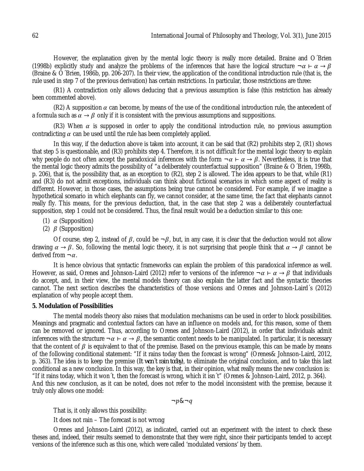However, the explanation given by the mental logic theory is really more detailed. Braine and O´Brien (1998b) explicitly study and analyze the problems of the inferences that have the logical structure  $\neg \alpha \vdash \alpha \rightarrow \beta$ (Braine & O´Brien, 1986b, pp. 206-207). In their view, the application of the conditional introduction rule (that is, the rule used in step 7 of the previous derivation) has certain restrictions. In particular, those restrictions are three:

(R1) A contradiction only allows deducing that a previous assumption is false (this restriction has already been commented above).

(R2) A supposition  $\alpha$  can become, by means of the use of the conditional introduction rule, the antecedent of a formula such as  $\alpha \to \beta$  only if it is consistent with the previous assumptions and suppositions.

(R3) When  $\alpha$  is supposed in order to apply the conditional introduction rule, no previous assumption contradicting  $\alpha$  can be used until the rule has been completely applied.

In this way, if the deduction above is taken into account, it can be said that (R2) prohibits step 2, (R1) shows that step 5 is questionable, and (R3) prohibits step 4. Therefore, it is not difficult for the mental logic theory to explain why people do not often accept the paradoxical inferences with the form  $\neg \alpha \vdash \alpha \rightarrow \beta$ . Nevertheless, it is true that the mental logic theory admits the possibility of "a deliberately counterfactual supposition" (Braine & O´Brien, 1998b, p. 206), that is, the possibility that, as an exception to (R2), step 2 is allowed. The idea appears to be that, while (R1) and (R3) do not admit exceptions, individuals can think about fictional scenarios in which some aspect of reality is different. However, in those cases, the assumptions being true cannot be considered. For example, if we imagine a hypothetical scenario in which elephants can fly, we cannot consider, at the same time, the fact that elephants cannot really fly. This means, for the previous deduction, that, in the case that step 2 was a deliberately counterfactual supposition, step 1 could not be considered. Thus, the final result would be a deduction similar to this one:

- (1)  $\alpha$  (Supposition)
- (2)  $\beta$  (Supposition)

Of course, step 2, instead of  $\beta$ , could be  $\neg \beta$ , but, in any case, it is clear that the deduction would not allow drawing  $\alpha \to \beta$ . So, following the mental logic theory, it is not surprising that people think that  $\alpha \to \beta$  cannot be derived from  $\neg \alpha$ .

It is hence obvious that syntactic frameworks can explain the problem of this paradoxical inference as well. However, as said. Orenes and Johnson-Laird (2012) refer to versions of the inference  $\neg \alpha \vdash \alpha \rightarrow \beta$  that individuals do accept, and, in their view, the mental models theory can also explain the latter fact and the syntactic theories cannot. The next section describes the characteristics of those versions and Orenes and Johnson-Laird´s (2012) explanation of why people accept them.

### **5. Modulation of Possibilities**

The mental models theory also raises that modulation mechanisms can be used in order to block possibilities. Meanings and pragmatic and contextual factors can have an influence on models and, for this reason, some of them can be removed or ignored. Thus, according to Orenes and Johnson-Laird (2012), in order that individuals admit inferences with the structure  $\neg \alpha \vdash \alpha \to \beta$ , the semantic content needs to be manipulated. In particular, it is necessary that the content of  $\beta$  is equivalent to that of the premise. Based on the previous example, this can be made by means of the following conditional statement: "If it rains today then the forecast is wrong" (Orenes& Johnson-Laird, 2012, p. 363). The idea is to keep the premise (*It won´t rain today*), to eliminate the original conclusion, and to take this last conditional as a new conclusion. In this way, the key is that, in their opinion, what really means the new conclusion is: "If it rains today, which it won´t, then the forecast is wrong, which it isn´t" (Orenes & Johnson-Laird, 2012, p. 364). And this new conclusion, as it can be noted, does not refer to the model inconsistent with the premise, because it truly only allows one model:

 $\neg p\&\neg q$ 

That is, it only allows this possibility:

It does not rain – The forecast is not wrong

Orenes and Johnson-Laird (2012), as indicated, carried out an experiment with the intent to check these theses and, indeed, their results seemed to demonstrate that they were right, since their participants tended to accept versions of the inference such as this one, which were called 'modulated versions' by them.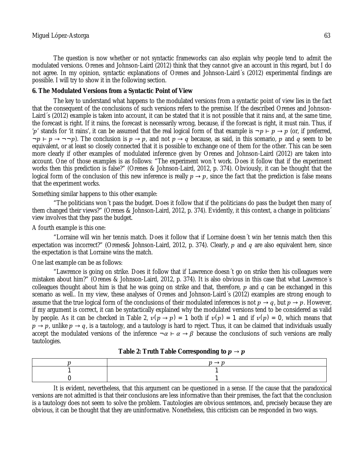The question is now whether or not syntactic frameworks can also explain why people tend to admit the modulated versions. Orenes and Johnson-Laird (2012) think that they cannot give an account in this regard, but I do not agree. In my opinion, syntactic explanations of Orenes and Johnson-Laird´s (2012) experimental findings are possible. I will try to show it in the following section.

### **6. The Modulated Versions from a Syntactic Point of View**

The key to understand what happens to the modulated versions from a syntactic point of view lies in the fact that the consequent of the conclusions of such versions refers to the premise. If the described Orenes and Johnson-Laird´s (2012) example is taken into account, it can be stated that it is not possible that it rains and, at the same time, the forecast is right. If it rains, the forecast is necessarily wrong, because, if the forecast is right, it must rain. Thus, if 'p' stands for 'it rains', it can be assumed that the real logical form of that example is  $\neg p \vdash p \rightarrow p$  (or, if preferred,  $\neg p \rightarrow \neg \neg p$ ). The conclusion is  $p \rightarrow p$ , and not  $p \rightarrow q$  because, as said, in this scenario, p and q seem to be equivalent, or at least so closely connected that it is possible to exchange one of them for the other. This can be seen more clearly if other examples of modulated inference given by Orenes and Johnson-Laird (2012) are taken into account. One of those examples is as follows: "The experiment won´t work. Does it follow that if the experiment works then this prediction is false?" (Orenes & Johnson-Laird, 2012, p. 374). Obviously, it can be thought that the logical form of the conclusion of this new inference is really  $p \to p$ , since the fact that the prediction is false means that the experiment works.

### Something similar happens to this other example:

"The politicians won´t pass the budget. Does it follow that if the politicians do pass the budget then many of them changed their views?" (Orenes & Johnson-Laird, 2012, p. 374). Evidently, it this context, a change in politicians´ view involves that they pass the budget.

## A fourth example is this one:

"Lorraine will win her tennis match. Does it follow that if Lorraine doesn´t win her tennis match then this expectation was incorrect?" (Orenes& Johnson-Laird, 2012, p. 374). Clearly,  $p$  and  $q$  are also equivalent here, since the expectation is that Lorraine wins the match.

### One last example can be as follows:

"Lawrence is going on strike. Does it follow that if Lawrence doesn´t go on strike then his colleagues were mistaken about him?" (Orenes & Johnson-Laird, 2012, p. 374). It is also obvious in this case that what Lawrence´s colleagues thought about him is that he was going on strike and that, therefore,  $p$  and  $q$  can be exchanged in this scenario as well.. In my view, these analyses of Orenes and Johnson-Laird´s (2012) examples are strong enough to assume that the true logical form of the conclusions of their modulated inferences is not  $p \to q$ , but  $p \to p$ . However, if my argument is correct, it can be syntactically explained why the modulated versions tend to be considered as valid by people. As it can be checked in Table 2,  $v(p \to p) = 1$  both if  $v(p) = 1$  and if  $v(p) = 0$ , which means that  $p \to p$ , unlike  $p \to q$ , is a tautology, and a tautology is hard to reject. Thus, it can be claimed that individuals usually accept the modulated versions of the inference  $\neg \alpha \vdash \alpha \rightarrow \beta$  because the conclusions of such versions are really tautologies.

| Table 2: Truth Table Corresponding to $p \rightarrow p$ |  |  |
|---------------------------------------------------------|--|--|
|---------------------------------------------------------|--|--|

It is evident, nevertheless, that this argument can be questioned in a sense. If the cause that the paradoxical versions are not admitted is that their conclusions are less informative than their premises, the fact that the conclusion is a tautology does not seem to solve the problem. Tautologies are obvious sentences, and, precisely because they are obvious, it can be thought that they are uninformative. Nonetheless, this criticism can be responded in two ways.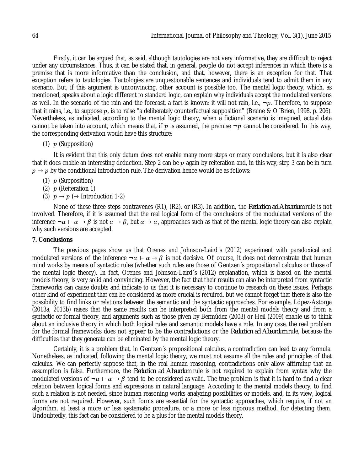Firstly, it can be argued that, as said, although tautologies are not very informative, they are difficult to reject under any circumstances. Thus, it can be stated that, in general, people do not accept inferences in which there is a premise that is more informative than the conclusion, and that, however, there is an exception for that. That exception refers to tautologies. Tautologies are unquestionable sentences and individuals tend to admit them in any scenario. But, if this argument is unconvincing, other account is possible too. The mental logic theory, which, as mentioned, speaks about a logic different to standard logic, can explain why individuals accept the modulated versions as well. In the scenario of the rain and the forecast, a fact is known: it will not rain, i.e.,  $\neg p$ . Therefore, to suppose that it rains, i.e., to suppose  $p_i$ , is to raise "a deliberately counterfactual supposition" (Braine & O´Brien, 1998, p. 206). Nevertheless, as indicated, according to the mental logic theory, when a fictional scenario is imagined, actual data cannot be taken into account, which means that, if p is assumed, the premise  $\neg p$  cannot be considered. In this way, the corresponding derivation would have this structure:

(1)  $p$  (Supposition)

It is evident that this only datum does not enable many more steps or many conclusions, but it is also clear that it does enable an interesting deduction. Step 2 can be  $p$  again by reiteration and, in this way, step 3 can be in turn  $p \rightarrow p$  by the conditional introduction rule. The derivation hence would be as follows:

- (1)  $p$  (Supposition)
- (2)  $p$  (Reiteration 1)
- (3)  $p \rightarrow p \rightarrow$  Introduction 1-2)

None of these three steps contravenes (R1), (R2), or (R3). In addition, the *Reduction ad Absurdum* rule is not involved. Therefore, if it is assumed that the real logical form of the conclusions of the modulated versions of the inference  $\neg \alpha \vdash \alpha \rightarrow \beta$  is not  $\alpha \rightarrow \beta$ , but  $\alpha \rightarrow \alpha$ , approaches such as that of the mental logic theory can also explain why such versions are accepted.

### **7. Conclusions**

The previous pages show us that Orenes and Johnson-Laird´s (2012) experiment with paradoxical and modulated versions of the inference  $\neg \alpha \vdash \alpha \rightarrow \beta$  is not decisive. Of course, it does not demonstrate that human mind works by means of syntactic rules (whether such rules are those of Gentzen´s propositional calculus or those of the mental logic theory). In fact, Orenes and Johnson-Laird´s (2012) explanation, which is based on the mental models theory, is very solid and convincing. However, the fact that their results can also be interpreted from syntactic frameworks can cause doubts and indicate to us that it is necessary to continue to research on these issues. Perhaps other kind of experiment that can be considered as more crucial is required, but we cannot forget that there is also the possibility to find links or relations between the semantic and the syntactic approaches. For example, López-Astorga (2013a, 2013b) raises that the same results can be interpreted both from the mental models theory and from a syntactic or formal theory, and arguments such as those given by Bermúdez (2003) or Heil (2009) enable us to think about an inclusive theory in which both logical rules and semantic models have a role. In any case, the real problem for the formal frameworks does not appear to be the contradictions or the *Reduction ad Absurdum* rule, because the difficulties that they generate can be eliminated by the mental logic theory.

Certainly, it is a problem that, in Gentzen´s propositional calculus, a contradiction can lead to any formula. Nonetheless, as indicated, following the mental logic theory, we must not assume all the rules and principles of that calculus. We can perfectly suppose that, in the real human reasoning, contradictions only allow affirming that an assumption is false. Furthermore, the *Reduction ad Absurdum* rule is not required to explain from syntax why the modulated versions of  $\neg \alpha \vdash \alpha \rightarrow \beta$  tend to be considered as valid. The true problem is that it is hard to find a clear relation between logical forms and expressions in natural language. According to the mental models theory, to find such a relation is not needed, since human reasoning works analyzing possibilities or models, and, in its view, logical forms are not required. However, such forms are essential for the syntactic approaches, which require, if not an algorithm, at least a more or less systematic procedure, or a more or less rigorous method, for detecting them. Undoubtedly, this fact can be considered to be a plus for the mental models theory.